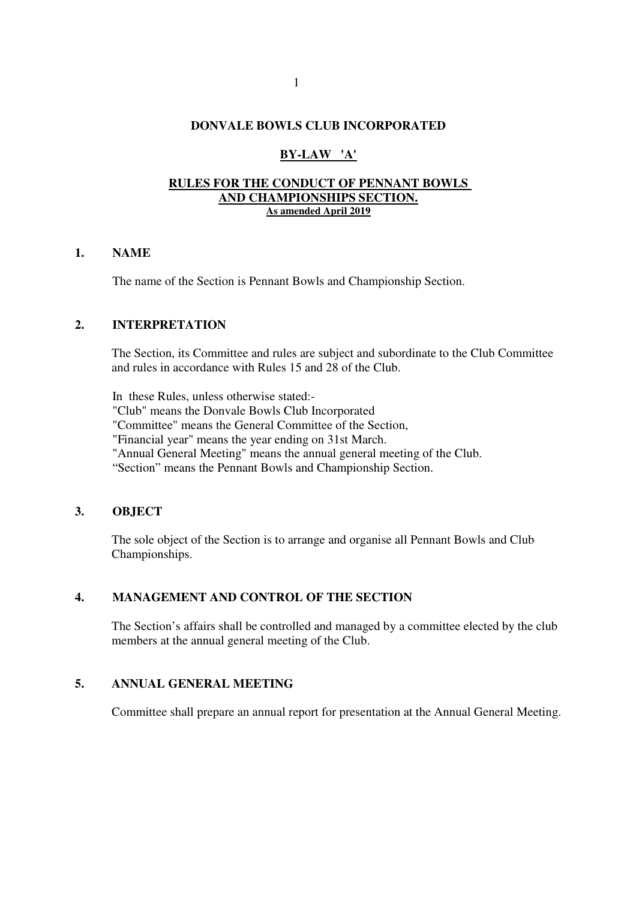# **DONVALE BOWLS CLUB INCORPORATED**

# **BY-LAW 'A'**

#### **RULES FOR THE CONDUCT OF PENNANT BOWLS AND CHAMPIONSHIPS SECTION. As amended April 2019**

#### **1. NAME**

The name of the Section is Pennant Bowls and Championship Section.

# **2. INTERPRETATION**

 The Section, its Committee and rules are subject and subordinate to the Club Committee and rules in accordance with Rules 15 and 28 of the Club.

In these Rules, unless otherwise stated:-

"Club" means the Donvale Bowls Club Incorporated

"Committee" means the General Committee of the Section,

"Financial year" means the year ending on 31st March.

"Annual General Meeting" means the annual general meeting of the Club.

"Section" means the Pennant Bowls and Championship Section.

#### **3. OBJECT**

 The sole object of the Section is to arrange and organise all Pennant Bowls and Club Championships.

# **4. MANAGEMENT AND CONTROL OF THE SECTION**

 The Section's affairs shall be controlled and managed by a committee elected by the club members at the annual general meeting of the Club.

# **5. ANNUAL GENERAL MEETING**

Committee shall prepare an annual report for presentation at the Annual General Meeting.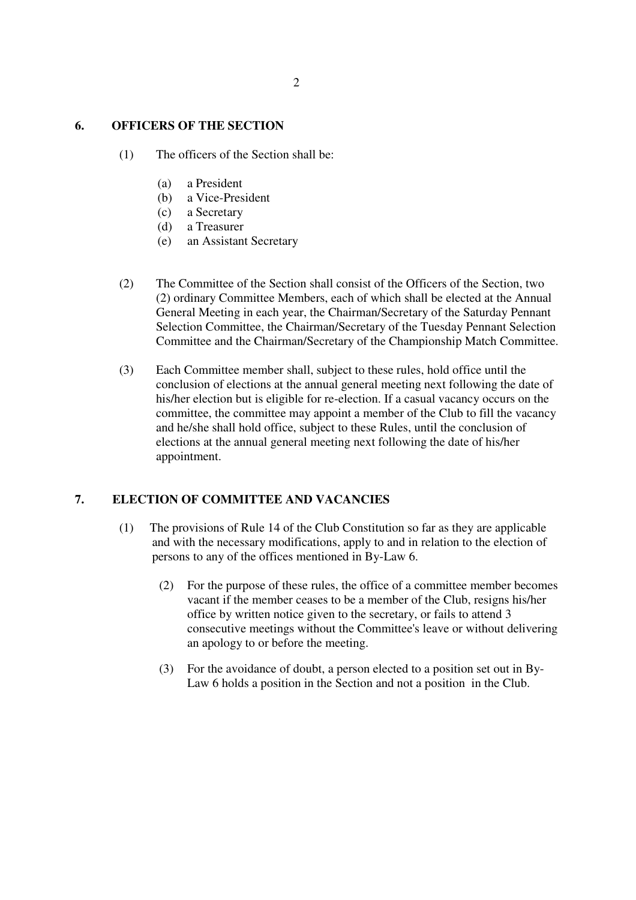# **6. OFFICERS OF THE SECTION**

- (1) The officers of the Section shall be:
	- (a) a President
	- (b) a Vice-President
	- (c) a Secretary
	- (d) a Treasurer
	- (e) an Assistant Secretary
- (2) The Committee of the Section shall consist of the Officers of the Section, two (2) ordinary Committee Members, each of which shall be elected at the Annual General Meeting in each year, the Chairman/Secretary of the Saturday Pennant Selection Committee, the Chairman/Secretary of the Tuesday Pennant Selection Committee and the Chairman/Secretary of the Championship Match Committee.
- (3) Each Committee member shall, subject to these rules, hold office until the conclusion of elections at the annual general meeting next following the date of his/her election but is eligible for re-election. If a casual vacancy occurs on the committee, the committee may appoint a member of the Club to fill the vacancy and he/she shall hold office, subject to these Rules, until the conclusion of elections at the annual general meeting next following the date of his/her appointment.

# **7. ELECTION OF COMMITTEE AND VACANCIES**

- (1) The provisions of Rule 14 of the Club Constitution so far as they are applicable and with the necessary modifications, apply to and in relation to the election of persons to any of the offices mentioned in By-Law 6.
	- (2) For the purpose of these rules, the office of a committee member becomes vacant if the member ceases to be a member of the Club, resigns his/her office by written notice given to the secretary, or fails to attend 3 consecutive meetings without the Committee's leave or without delivering an apology to or before the meeting.
	- (3) For the avoidance of doubt, a person elected to a position set out in By-Law 6 holds a position in the Section and not a position in the Club.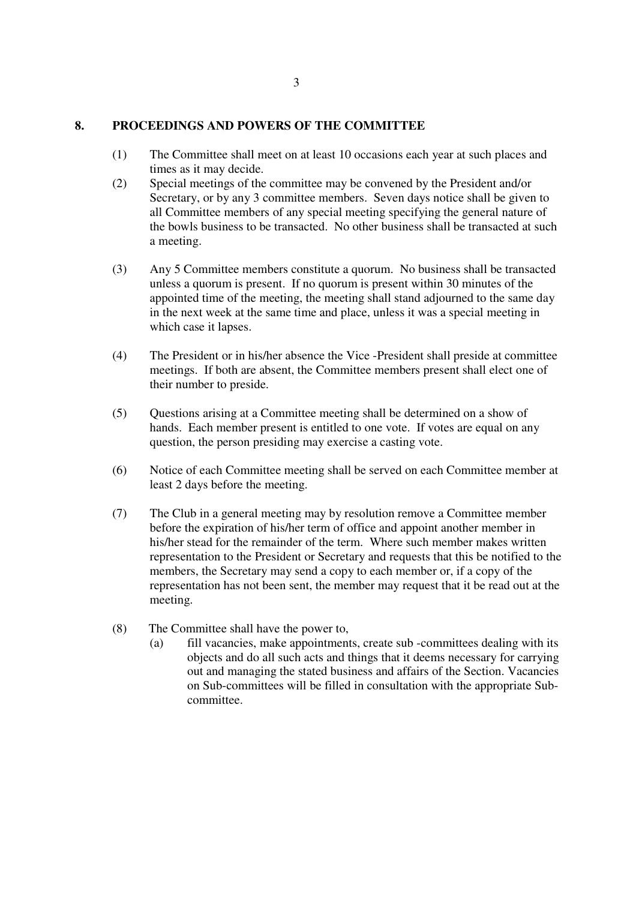### **8. PROCEEDINGS AND POWERS OF THE COMMITTEE**

- (1) The Committee shall meet on at least 10 occasions each year at such places and times as it may decide.
- (2) Special meetings of the committee may be convened by the President and/or Secretary, or by any 3 committee members. Seven days notice shall be given to all Committee members of any special meeting specifying the general nature of the bowls business to be transacted. No other business shall be transacted at such a meeting.
- (3) Any 5 Committee members constitute a quorum. No business shall be transacted unless a quorum is present. If no quorum is present within 30 minutes of the appointed time of the meeting, the meeting shall stand adjourned to the same day in the next week at the same time and place, unless it was a special meeting in which case it lapses.
- (4) The President or in his/her absence the Vice -President shall preside at committee meetings. If both are absent, the Committee members present shall elect one of their number to preside.
- (5) Questions arising at a Committee meeting shall be determined on a show of hands. Each member present is entitled to one vote. If votes are equal on any question, the person presiding may exercise a casting vote.
- (6) Notice of each Committee meeting shall be served on each Committee member at least 2 days before the meeting.
- (7) The Club in a general meeting may by resolution remove a Committee member before the expiration of his/her term of office and appoint another member in his/her stead for the remainder of the term. Where such member makes written representation to the President or Secretary and requests that this be notified to the members, the Secretary may send a copy to each member or, if a copy of the representation has not been sent, the member may request that it be read out at the meeting.
- (8) The Committee shall have the power to,
	- (a) fill vacancies, make appointments, create sub -committees dealing with its objects and do all such acts and things that it deems necessary for carrying out and managing the stated business and affairs of the Section. Vacancies on Sub-committees will be filled in consultation with the appropriate Subcommittee.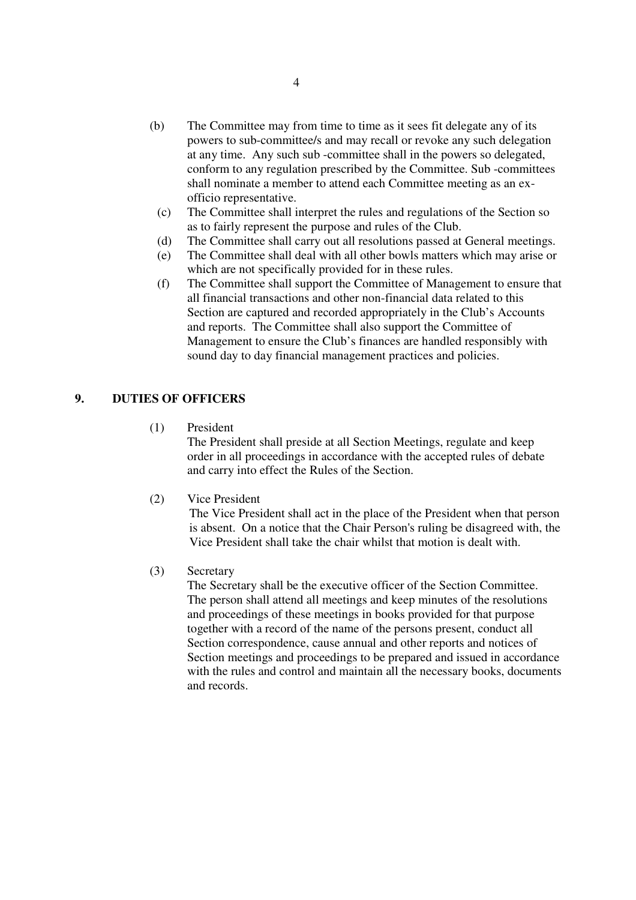- (b) The Committee may from time to time as it sees fit delegate any of its powers to sub-committee/s and may recall or revoke any such delegation at any time. Any such sub -committee shall in the powers so delegated, conform to any regulation prescribed by the Committee. Sub -committees shall nominate a member to attend each Committee meeting as an exofficio representative.
	- (c) The Committee shall interpret the rules and regulations of the Section so as to fairly represent the purpose and rules of the Club.
	- (d) The Committee shall carry out all resolutions passed at General meetings.
	- (e) The Committee shall deal with all other bowls matters which may arise or which are not specifically provided for in these rules.
	- (f) The Committee shall support the Committee of Management to ensure that all financial transactions and other non-financial data related to this Section are captured and recorded appropriately in the Club's Accounts and reports. The Committee shall also support the Committee of Management to ensure the Club's finances are handled responsibly with sound day to day financial management practices and policies.

# **9. DUTIES OF OFFICERS**

(1) President

The President shall preside at all Section Meetings, regulate and keep order in all proceedings in accordance with the accepted rules of debate and carry into effect the Rules of the Section.

(2) Vice President

The Vice President shall act in the place of the President when that person is absent. On a notice that the Chair Person's ruling be disagreed with, the Vice President shall take the chair whilst that motion is dealt with.

(3) Secretary

The Secretary shall be the executive officer of the Section Committee. The person shall attend all meetings and keep minutes of the resolutions and proceedings of these meetings in books provided for that purpose together with a record of the name of the persons present, conduct all Section correspondence, cause annual and other reports and notices of Section meetings and proceedings to be prepared and issued in accordance with the rules and control and maintain all the necessary books, documents and records.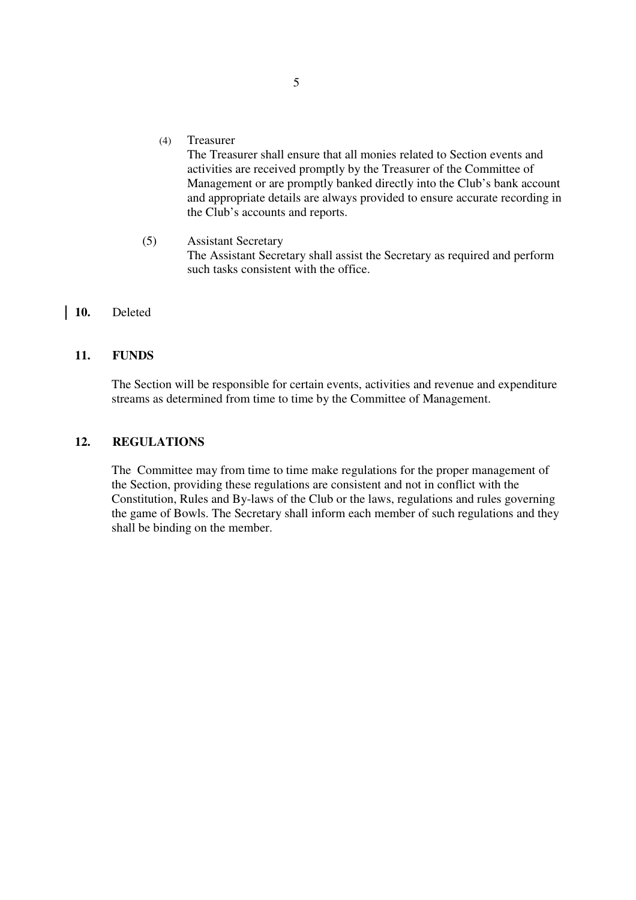(4) Treasurer

The Treasurer shall ensure that all monies related to Section events and activities are received promptly by the Treasurer of the Committee of Management or are promptly banked directly into the Club's bank account and appropriate details are always provided to ensure accurate recording in the Club's accounts and reports.

(5) Assistant Secretary The Assistant Secretary shall assist the Secretary as required and perform such tasks consistent with the office.

# **10.** Deleted

#### **11. FUNDS**

 The Section will be responsible for certain events, activities and revenue and expenditure streams as determined from time to time by the Committee of Management.

#### **12. REGULATIONS**

 The Committee may from time to time make regulations for the proper management of the Section, providing these regulations are consistent and not in conflict with the Constitution, Rules and By-laws of the Club or the laws, regulations and rules governing the game of Bowls. The Secretary shall inform each member of such regulations and they shall be binding on the member.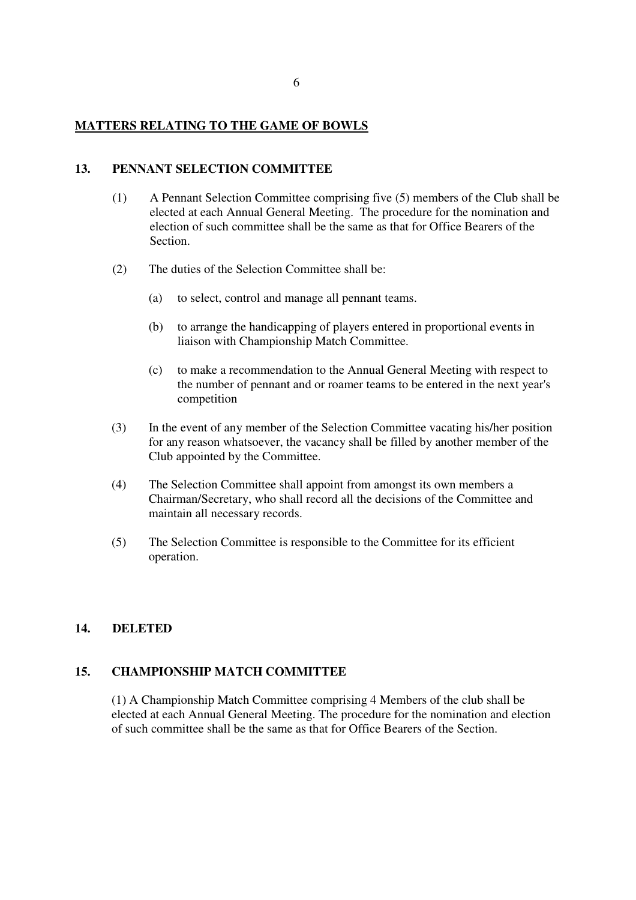### **MATTERS RELATING TO THE GAME OF BOWLS**

#### **13. PENNANT SELECTION COMMITTEE**

- (1) A Pennant Selection Committee comprising five (5) members of the Club shall be elected at each Annual General Meeting. The procedure for the nomination and election of such committee shall be the same as that for Office Bearers of the Section.
- (2) The duties of the Selection Committee shall be:
	- (a) to select, control and manage all pennant teams.
	- (b) to arrange the handicapping of players entered in proportional events in liaison with Championship Match Committee.
	- (c) to make a recommendation to the Annual General Meeting with respect to the number of pennant and or roamer teams to be entered in the next year's competition
- (3) In the event of any member of the Selection Committee vacating his/her position for any reason whatsoever, the vacancy shall be filled by another member of the Club appointed by the Committee.
- (4) The Selection Committee shall appoint from amongst its own members a Chairman/Secretary, who shall record all the decisions of the Committee and maintain all necessary records.
- (5) The Selection Committee is responsible to the Committee for its efficient operation.

# **14. DELETED**

# **15. CHAMPIONSHIP MATCH COMMITTEE**

(1) A Championship Match Committee comprising 4 Members of the club shall be elected at each Annual General Meeting. The procedure for the nomination and election of such committee shall be the same as that for Office Bearers of the Section.